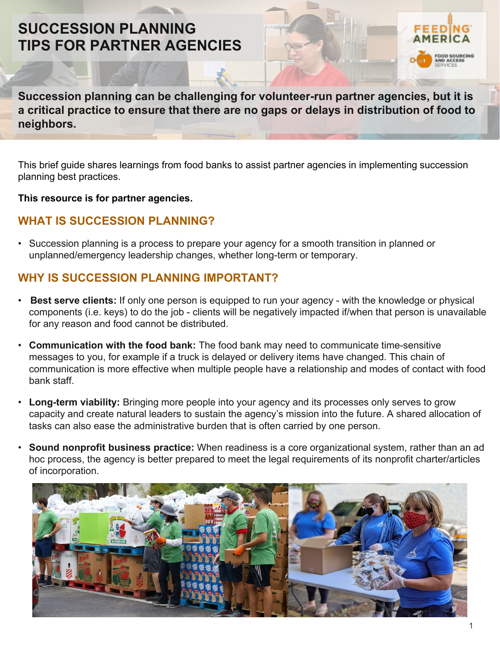# **SUCCESSION PLANNING TIPS FOR PARTNER AGENCIES**



This brief guide shares learnings from food banks to assist partner agencies in implementing succession planning best practices.

**This resource is for partner agencies.**

## **WHAT IS SUCCESSION PLANNING?**

• Succession planning is a process to prepare your agency for a smooth transition in planned or unplanned/emergency leadership changes, whether long-term or temporary.

### **WHY IS SUCCESSION PLANNING IMPORTANT?**

- **Best serve clients:** If only one person is equipped to run your agency with the knowledge or physical components (i.e. keys) to do the job - clients will be negatively impacted if/when that person is unavailable for any reason and food cannot be distributed.
- **Communication with the food bank:** The food bank may need to communicate time-sensitive messages to you, for example if a truck is delayed or delivery items have changed. This chain of communication is more effective when multiple people have a relationship and modes of contact with food bank staff.
- **Long-term viability:** Bringing more people into your agency and its processes only serves to grow capacity and create natural leaders to sustain the agency's mission into the future. A shared allocation of tasks can also ease the administrative burden that is often carried by one person.
- **Sound nonprofit business practice:** When readiness is a core organizational system, rather than an ad hoc process, the agency is better prepared to meet the legal requirements of its nonprofit charter/articles of incorporation.



**OD SOURCING**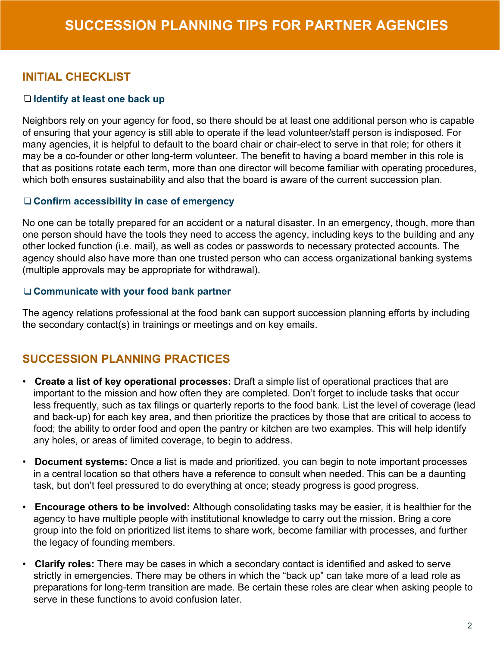## **INITIAL CHECKLIST**

#### ❏ **Identify at least one back up**

Neighbors rely on your agency for food, so there should be at least one additional person who is capable of ensuring that your agency is still able to operate if the lead volunteer/staff person is indisposed. For many agencies, it is helpful to default to the board chair or chair-elect to serve in that role; for others it may be a co-founder or other long-term volunteer. The benefit to having a board member in this role is that as positions rotate each term, more than one director will become familiar with operating procedures, which both ensures sustainability and also that the board is aware of the current succession plan.

#### ❏ **Confirm accessibility in case of emergency**

No one can be totally prepared for an accident or a natural disaster. In an emergency, though, more than one person should have the tools they need to access the agency, including keys to the building and any other locked function (i.e. mail), as well as codes or passwords to necessary protected accounts. The agency should also have more than one trusted person who can access organizational banking systems (multiple approvals may be appropriate for withdrawal).

#### ❏ **Communicate with your food bank partner**

The agency relations professional at the food bank can support succession planning efforts by including the secondary contact(s) in trainings or meetings and on key emails.

### **SUCCESSION PLANNING PRACTICES**

- **Create a list of key operational processes:** Draft a simple list of operational practices that are important to the mission and how often they are completed. Don't forget to include tasks that occur less frequently, such as tax filings or quarterly reports to the food bank. List the level of coverage (lead and back-up) for each key area, and then prioritize the practices by those that are critical to access to food; the ability to order food and open the pantry or kitchen are two examples. This will help identify any holes, or areas of limited coverage, to begin to address.
- **Document systems:** Once a list is made and prioritized, you can begin to note important processes in a central location so that others have a reference to consult when needed. This can be a daunting task, but don't feel pressured to do everything at once; steady progress is good progress.
- **Encourage others to be involved:** Although consolidating tasks may be easier, it is healthier for the agency to have multiple people with institutional knowledge to carry out the mission. Bring a core group into the fold on prioritized list items to share work, become familiar with processes, and further the legacy of founding members.
- **Clarify roles:** There may be cases in which a secondary contact is identified and asked to serve strictly in emergencies. There may be others in which the "back up" can take more of a lead role as preparations for long-term transition are made. Be certain these roles are clear when asking people to serve in these functions to avoid confusion later